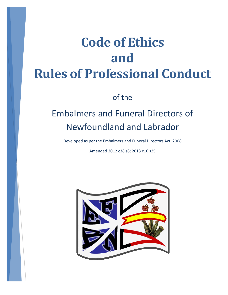# **Code of Ethics and Rules of Professional Conduct**

of the

## Embalmers and Funeral Directors of Newfoundland and Labrador

Developed as per the Embalmers and Funeral Directors Act, 2008

Amended 2012 c38 s8; 2013 c16 s25

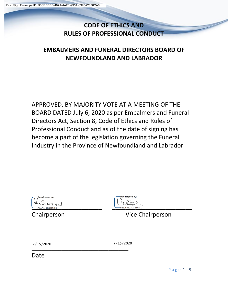## **CODE OF ETHICS AND RULES OF PROFESSIONAL CONDUCT**

### **EMBALMERS AND FUNERAL DIRECTORS BOARD OF NEWFOUNDLAND AND LABRADOR**

APPROVED, BY MAJORITY VOTE AT A MEETING OF THE BOARD DATED July 6, 2020 as per Embalmers and Funeral Directors Act, Section 8, Code of Ethics and Rules of Professional Conduct and as of the date of signing has become a part of the legislation governing the Funeral Industry in the Province of Newfoundland and Labrador



DocuSigned by:

Chairperson Vice Chairperson

| 7/15/2020 | 7/15/20 |
|-----------|---------|
|           |         |

7/15/2020 7/15/2020

Date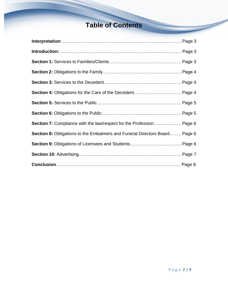## **Table of Contents**

| <b>Section 8:</b> Obligations to the Embalmers and Funeral Directors Board Page 6 |  |
|-----------------------------------------------------------------------------------|--|
|                                                                                   |  |
|                                                                                   |  |
|                                                                                   |  |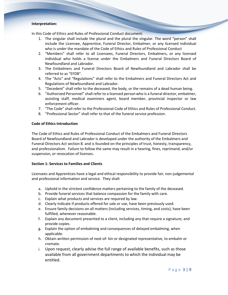#### **Interpretation:**

In this Code of Ethics and Rules of Professional Conduct document:

- 1. The singular shall include the plural and the plural the singular. The word "person" shall include the Licensee, Apprentice, Funeral Director, Embalmer, or any licensed individual who is under the mandate of the Code of Ethics and Rules of Professional Conduct
- 2. "Members" shall refer to all Licensees, Funeral Directors, Embalmers, or any licensed individual who holds a license under the Embalmers and Funeral Directors Board of Newfoundland and Labrador.
- 3. The Embalmers and Funeral Directors Board of Newfoundland and Labrador shall be referred to as "EFDB".
- 4. The "Acts" and "Regulations" shall refer to the Embalmers and Funeral Directors Act and Regulations of Newfoundland and Labrador.
- 5. "Decedent" shall refer to the deceased, the body, or the remains of a dead human being.
- 6. "Authorized Personnel" shall refer to a licensed person who is a funeral director, embalmer, assisting staff, medical examiners agent, board member, provincial inspector or law enforcement officer.
- 7. "The Code" shall refer to the Professional Code of Ethics and Rules of Professional Conduct.
- 8. "Professional Sector" shall refer to that of the funeral service profession.

#### **Code of Ethics Introduction**

The Code of Ethics and Rules of Professional Conduct of the Embalmers and Funeral Directors Board of Newfoundland and Labrador is developed under the authority of the Embalmers and Funeral Directors Act section 8. and is founded on the principles of trust, honesty, transparency, and professionalism. Failure to follow the same may result in a hearing, fines, reprimand, and/or suspension, or revocation of licenses.

#### **Section 1: Services to Families and Clients**

Licensees and Apprentices have a legal and ethical responsibility to provide fair, non-judgemental and professional information and service. They shall:

- a. Uphold in the strictest confidence matters pertaining to the family of the deceased.
- b. Provide funeral services that balance compassion for the family with care.
- c. Explain what products and services are required by law.
- d. Clearly indicate if products offered for sale or use, have been previously used.
- e. Ensure family decisions on all matters (including services, timing, and costs), have been fulfilled, whenever reasonable.
- f. Explain any document presented to a client, including any that require a signature; and provide copies.
- g. Explain the option of embalming and consequences of delayed embalming, when applicable.
- h. Obtain written permission of next-of- kin or designated representative, to embalm or cremate.
- i. Upon request, clearly advise the full range of available benefits, such as those available from all government departments to which the individual may be entitled.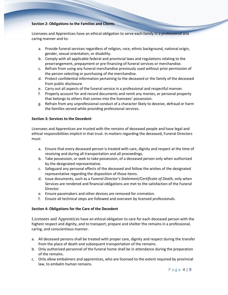#### **Section 2: Obligations to the Families and Clients**

Licensees and Apprentices have an ethical obligation to serve each family in a professional and caring manner and to:

- a. Provide funeral services regardless of religion, race, ethnic background, national origin, gender, sexual orientation, or disability.
- b. Comply with all applicable federal and provincial laws and regulations relating to the prearrangement, prepayment or pre-financing of funeral services or merchandise.
- c. Refrain from using any funeral merchandise previously used without prior permission of the person selecting or purchasing of the merchandise.
- d. Protect confidential information pertaining to the deceased or the family of the deceased from public disclosure.
- e. Carry out all aspects of the funeral service in a professional and respectful manner.
- f. Properly account for and record documents and remit any monies, or personal property that belongs to others that comes into the licensees' possession.
- g. Refrain from any unprofessional conduct of a character likely to deceive, defraud or harm the families served while providing professional services.

#### **Section 3: Services to the Decedent**

Licensees and Apprentices are trusted with the remains of deceased people and have legal and ethical responsibilities implicit in that trust. In matters regarding the deceased, Funeral Directors must:

- a. Ensure that every deceased person is treated with care, dignity and respect at the time of receiving and during all transportation and all proceedings.
- b. Take possession, or seek to take possession, of a deceased person only when authorized by the designated representative.
- c. Safeguard any personal effects of the deceased and follow the wishes of the designated representative regarding the disposition of those items.
- d. Issue documents, such as a *Funeral Director's Statement/Certificate of Death,* only when Services are rendered and financial obligations are met to the satisfaction of the Funeral Director.
- e. Ensure pacemakers and other devices are removed for cremation.
- f. Ensure all technical steps are followed and overseen by licensed professionals.

#### **Section 4: Obligations for the Care of the Decedent**

Licensees and Apprentices have an ethical obligation to care for each deceased person with the highest respect and dignity, and to transport, prepare and shelter the remains in a professional, caring, and conscientious manner.

- a. All deceased persons shall be treated with proper care, dignity and respect during the transfer from the place of death and subsequent transportation of the remains.
- b. Only authorized personnel of the funeral home shall be in attendance during the preparation of the remains.
- c. Only allow embalmers and apprentices, who are licensed to the extent required by provincial law, to embalm human remains.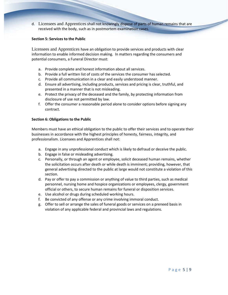d. Licensees and Apprentices shall not knowingly dispose of parts of human remains that are received with the body, such as in postmortem examination cases.

#### **Section 5: Services to the Public**

Licensees and Apprentices have an obligation to provide services and products with clear information to enable informed decision making. In matters regarding the consumers and potential consumers, a Funeral Director must:

- a. Provide complete and honest information about all services.
- b. Provide a full written list of costs of the services the consumer has selected.
- c. Provide all communication in a clear and easily understood manner.
- d. Ensure all advertising, including products, services and pricing is clear, truthful, and presented in a manner that is not misleading.
- e. Protect the privacy of the deceased and the family, by protecting information from disclosure of use not permitted by law.
- f. Offer the consumer a reasonable period alone to consider options before signing any contract.

#### **Section 6: Obligations to the Public**

Members must have an ethical obligation to the public to offer their services and to operate their businesses in accordance with the highest principles of honesty, fairness, integrity, and professionalism. Licensees and Apprentices shall not:

- a. Engage in any unprofessional conduct which is likely to defraud or deceive the public.
- b. Engage in false or misleading advertising.
- c. Personally, or through an agent or employee, solicit deceased human remains, whether the solicitation occurs after death or while death is imminent; providing, however, that general advertising directed to the public at large would not constitute a violation of this section.
- d. Pay or offer to pay a commission or anything of value to third parties, such as medical personnel, nursing home and hospice organizations or employees, clergy, government official or others, to secure human remains for funeral or disposition services.
- e. Use alcohol or drugs during scheduled working hours.
- f. Be convicted of any offense or any crime involving immoral conduct.
- g. Offer to sell or arrange the sales of funeral goods or services on a preneed basis in violation of any applicable federal and provincial laws and regulations.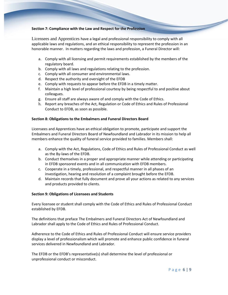#### **Section 7: Compliance with the Law and Respect for the Profession**

Licensees and Apprentices have a legal and professional responsibility to comply with all applicable laws and regulations, and an ethical responsibility to represent the profession in an honorable manner. In matters regarding the laws and profession, a Funeral Director will:

- a. Comply with all licensing and permit requirements established by the members of the regulatory board.
- b. Comply with all laws and regulations relating to the profession.
- c. Comply with all consumer and environmental laws.
- d. Respect the authority and oversight of the EFDB
- e. Comply with requests to appear before the EFDB in a timely matter.
- f. Maintain a high level of professional courtesy by being respectful to and positive about colleagues.
- g. Ensure all staff are always aware of and comply with the Code of Ethics.
- h. Report any breaches of the Act, Regulation or Code of Ethics and Rules of Professional Conduct to EFDB, as soon as possible.

#### **Section 8: Obligations to the Embalmers and Funeral Directors Board**

Licensees and Apprentices have an ethical obligation to promote, participate and support the Embalmers and Funeral Directors Board of Newfoundland and Labrador in its mission to help all members enhance the quality of funeral service provided to families. Members shall:

- a. Comply with the Act, Regulations, Code of Ethics and Rules of Professional Conduct as well as the By-laws of the EFDB.
- b. Conduct themselves in a proper and appropriate manner while attending or participating in EFDB sponsored events and in all communication with EFDB members.
- c. Cooperate in a timely, professional, and respectful manner in all phases of an investigation, hearing and resolution of a complaint brought before the EFDB.
- d. Maintain records that fully document and prove all your actions as related to any services and products provided to clients.

#### **Section 9: Obligations of Licensees and Students**

Every licensee or student shall comply with the Code of Ethics and Rules of Professional Conduct established by EFDB.

The definitions that preface The Embalmers and Funeral Directors Act of Newfoundland and Labrador shall apply to the Code of Ethics and Rules of Professional Conduct.

Adherence to the Code of Ethics and Rules of Professional Conduct will ensure service providers display a level of professionalism which will promote and enhance public confidence in funeral services delivered in Newfoundland and Labrador.

The EFDB or the EFDB's representative(s) shall determine the level of professional or unprofessional conduct or misconduct.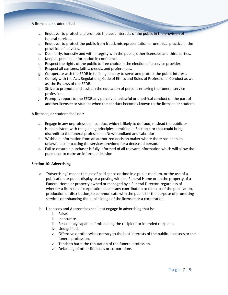A licensee or student shall:

- a. Endeavor to protect and promote the best interests of the public in the provision of funeral services.
- b. Endeavor to protect the public from fraud, misrepresentation or unethical practice in the provision of services.
- c. Deal fairly, honestly and with integrity with the public, other licensees and third parties.
- d. Keep all personal information in confidence.
- e. Respect the rights of the public to free choice in the election of a service provider.
- f. Respect all customs, faiths, creeds, and preferences.
- g. Co-operate with the EFDB in fulfilling its duty to serve and protect the public interest.
- h. Comply with the Act, Regulations, Code of Ethics and Rules of Professional Conduct as well as, the By-laws of the EFDB.
- i. Strive to promote and assist in the education of persons entering the funeral service profession.
- j. Promptly report to the EFDB any perceived unlawful or unethical conduct on the part of another licensee or student when the conduct becomes known to the licensee or student.

A licensee, or student shall not:

- a. Engage in any unprofessional conduct which is likely to defraud, mislead the public or is inconsistent with the guiding principles identified in Section 4 or that could bring discredit to the funeral profession in Newfoundland and Labrador.
- b. Withhold information from an authorized decision maker where there has been an unlawful act impacting the services provided for a deceased person.
- c. Fail to ensure a purchaser is fully informed of all relevant information which will allow the purchaser to make an informed decision.

#### **Section 10: Advertising**

- a. "Advertising" means the use of paid space or time in a public medium, or the use of a publication or public display or a posting within a Funeral Home or on the property of a Funeral Home or property owned or managed by a Funeral Director, regardless of whether a licensee or corporation makes any contribution to the cost of the publication, production or distribution, to communicate with the public for the purpose of promoting services or enhancing the public image of the licensee or a corporation.
- b. Licensees and Apprentices shall not engage in advertising that is:
	- i. False.
	- ii. Inaccurate.
	- iii. Reasonably capable of misleading the recipient or intended recipient.
	- iv. Undignified.
	- v. Offensive or otherwise contrary to the best interests of the public, licensees or the funeral profession.
	- vi. Tends to harm the reputation of the funeral profession.
	- vii. Defaming of other licensees or corporations.